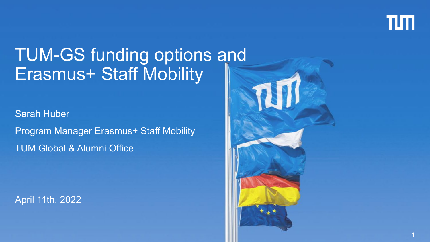

1

# TUM-GS funding options and Erasmus+ Staff Mobility

Sarah Huber Program Manager Erasmus+ Staff Mobility TUM Global & Alumni Office

April 11th, 2022

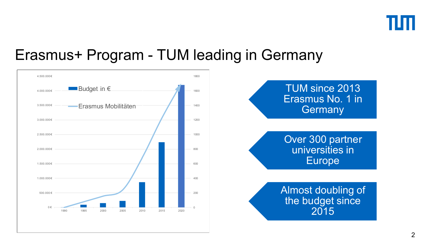

### Erasmus+ Program - TUM leading in Germany



TUM since 2013 Erasmus No. 1 in **Germany** 

Over 300 partner universities in Europe

Almost doubling of the budget since 2015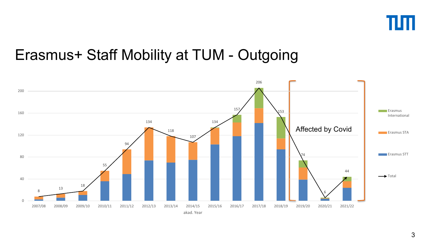

### Erasmus+ Staff Mobility at TUM - Outgoing

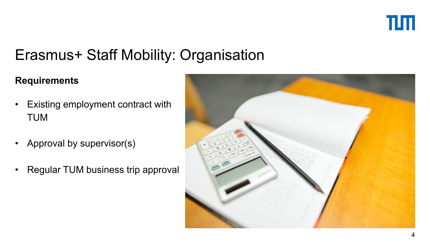

# Erasmus+ Staff Mobility: Organisation

#### **Requirements**

- Existing employment contract with TUM
- Approval by supervisor(s)
- Regular TUM business trip approval

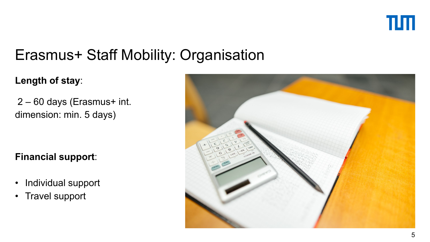

# Erasmus+ Staff Mobility: Organisation

#### **Length of stay**:

2 – 60 days (Erasmus+ int. dimension: min. 5 days)

#### **Financial support**:

- Individual support
- Travel support

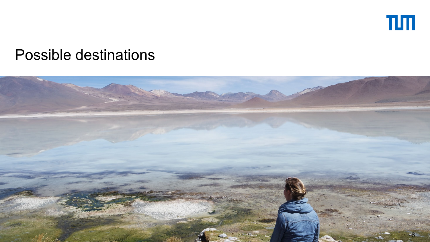

#### Possible destinations

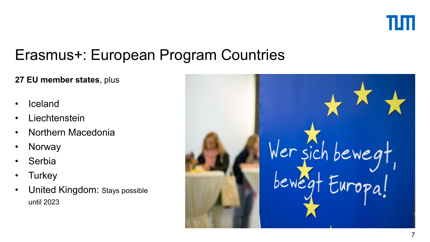

### Erasmus+: European Program Countries

#### **27 EU member states**, plus

- **Iceland**
- **Liechtenstein**
- Northern Macedonia
- Norway
- **Serbia**
- **Turkey**
- United Kingdom: Stays possible until 2023

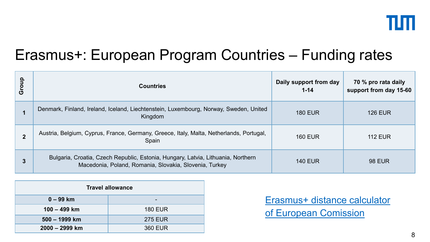

# Erasmus+: European Program Countries – Funding rates

| Group          | <b>Countries</b>                                                                                                                           | Daily support from day<br>$1 - 14$ | 70 % pro rata daily<br>support from day 15-60 |
|----------------|--------------------------------------------------------------------------------------------------------------------------------------------|------------------------------------|-----------------------------------------------|
|                | Denmark, Finland, Ireland, Iceland, Liechtenstein, Luxembourg, Norway, Sweden, United<br>Kingdom                                           | <b>180 EUR</b>                     | <b>126 EUR</b>                                |
| $\overline{2}$ | Austria, Belgium, Cyprus, France, Germany, Greece, Italy, Malta, Netherlands, Portugal,<br>Spain                                           | <b>160 EUR</b>                     | <b>112 EUR</b>                                |
|                | Bulgaria, Croatia, Czech Republic, Estonia, Hungary, Latvia, Lithuania, Northern<br>Macedonia, Poland, Romania, Slovakia, Slovenia, Turkey | <b>140 EUR</b>                     | <b>98 EUR</b>                                 |

| <b>Travel allowance</b> |                |  |
|-------------------------|----------------|--|
| $0 - 99$ km             |                |  |
| $100 - 499$ km          | <b>180 EUR</b> |  |
| 500 - 1999 km           | <b>275 EUR</b> |  |
| 2000 - 2999 km          | 360 EUR        |  |

Erasmus+ distance calculator of [European Comission](https://ec.europa.eu/programmes/erasmus-plus/resources/distance-calculator_en)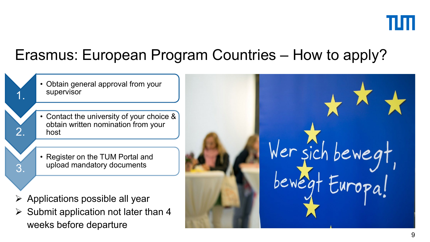

# Erasmus: European Program Countries – How to apply?

• Obtain general approval from your supervisor

1.

2.

3.

- Contact the university of your choice & obtain written nomination from your host
- Register on the TUM Portal and upload mandatory documents
- $\triangleright$  Applications possible all year
- $\triangleright$  Submit application not later than 4 weeks before departure

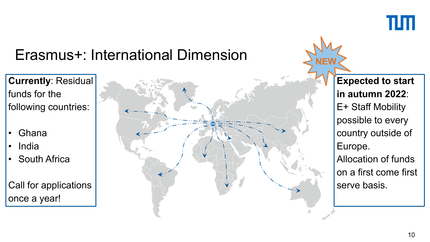

# Erasmus+: International Dimension

**Currently**: Residual funds for the following countries:

- Ghana
- India
- South Africa

Call for applications once a year!



**Expected to start in autumn 2022**: E+ Staff Mobility possible to every country outside of Europe. Allocation of funds on a first come first serve basis.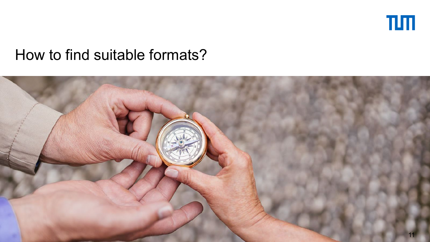

#### How to find suitable formats?

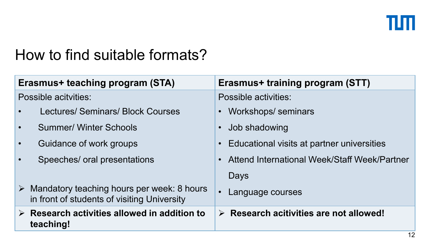

### How to find suitable formats?

| Erasmus+ teaching program (STA) |                                                                                           | Erasmus+ training program (STT)                        |  |
|---------------------------------|-------------------------------------------------------------------------------------------|--------------------------------------------------------|--|
| Possible acityities:            |                                                                                           | <b>Possible activities:</b>                            |  |
|                                 | <b>Lectures/ Seminars/ Block Courses</b>                                                  | <b>Workshops/seminars</b><br>$\bullet$                 |  |
|                                 | <b>Summer/ Winter Schools</b>                                                             | Job shadowing                                          |  |
| $\bullet$                       | Guidance of work groups                                                                   | Educational visits at partner universities             |  |
|                                 | Speeches/ oral presentations                                                              | Attend International Week/Staff Week/Partner           |  |
|                                 |                                                                                           | Days                                                   |  |
| $\blacktriangleright$           | Mandatory teaching hours per week: 8 hours<br>in front of students of visiting University | $\bullet$<br>Language courses                          |  |
| teaching!                       | $\triangleright$ Research activities allowed in addition to                               | $\triangleright$ Research acitivities are not allowed! |  |